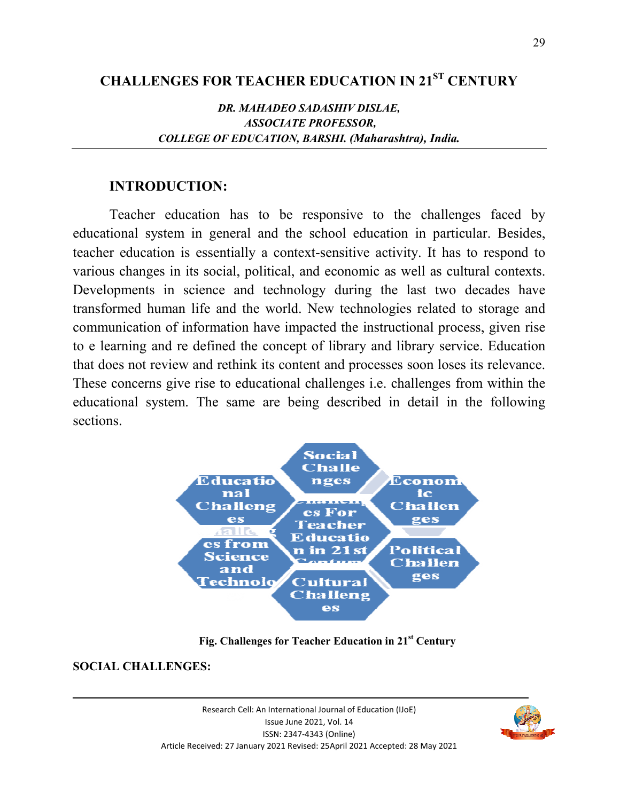# **CHALLENGES FOR TEACHER EDUCATION IN 21ST CENTURY**

## *DR. MAHADEO SADASHIV DISLAE, ASSOCIATE PROFESSOR, COLLEGE OF EDUCATION, BARSHI. (Maharashtra), India.*

## **INTRODUCTION:**

Teacher education has to be responsive to the challenges faced by educational system in general and the school education in particular. Besides, teacher education is essentially a context-sensitive activity. It has to respond to various changes in its social, political, and economic as well as cultural contexts. Developments in science and technology during the last two decades have transformed human life and the world. New technologies related to storage and communication of information have impacted the instructional process, given rise to e learning and re defined the concept of library and library service. Education that does not review and rethink its content and processes soon loses its relevance. These concerns give rise to educational challenges i.e. challenges from within the educational system. The same are being described in detail in the following sections.



**Fig. Challenges for Teacher Education in 21st Century** 

## **SOCIAL CHALLENGES:**

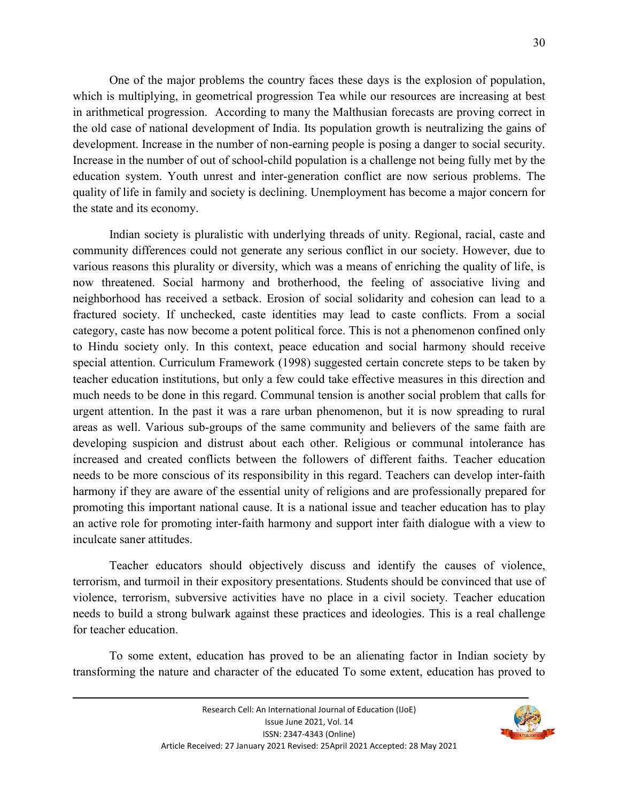One of the major problems the country faces these days is the explosion of population, which is multiplying, in geometrical progression Tea while our resources are increasing at best in arithmetical progression. According to many the Malthusian forecasts are proving correct in the old case of national development of India. Its population growth is neutralizing the gains of development. Increase in the number of non-earning people is posing a danger to social security. Increase in the number of out of school-child population is a challenge not being fully met by the education system. Youth unrest and inter-generation conflict are now serious problems. The quality of life in family and society is declining. Unemployment has become a major concern for the state and its economy.

 Indian society is pluralistic with underlying threads of unity. Regional, racial, caste and community differences could not generate any serious conflict in our society. However, due to various reasons this plurality or diversity, which was a means of enriching the quality of life, is now threatened. Social harmony and brotherhood, the feeling of associative living and neighborhood has received a setback. Erosion of social solidarity and cohesion can lead to a fractured society. If unchecked, caste identities may lead to caste conflicts. From a social category, caste has now become a potent political force. This is not a phenomenon confined only to Hindu society only. In this context, peace education and social harmony should receive special attention. Curriculum Framework (1998) suggested certain concrete steps to be taken by teacher education institutions, but only a few could take effective measures in this direction and much needs to be done in this regard. Communal tension is another social problem that calls for urgent attention. In the past it was a rare urban phenomenon, but it is now spreading to rural areas as well. Various sub-groups of the same community and believers of the same faith are developing suspicion and distrust about each other. Religious or communal intolerance has increased and created conflicts between the followers of different faiths. Teacher education needs to be more conscious of its responsibility in this regard. Teachers can develop inter-faith harmony if they are aware of the essential unity of religions and are professionally prepared for promoting this important national cause. It is a national issue and teacher education has to play an active role for promoting inter-faith harmony and support inter faith dialogue with a view to inculcate saner attitudes.

Teacher educators should objectively discuss and identify the causes of violence, terrorism, and turmoil in their expository presentations. Students should be convinced that use of violence, terrorism, subversive activities have no place in a civil society. Teacher education needs to build a strong bulwark against these practices and ideologies. This is a real challenge for teacher education.

To some extent, education has proved to be an alienating factor in Indian society by transforming the nature and character of the educated To some extent, education has proved to

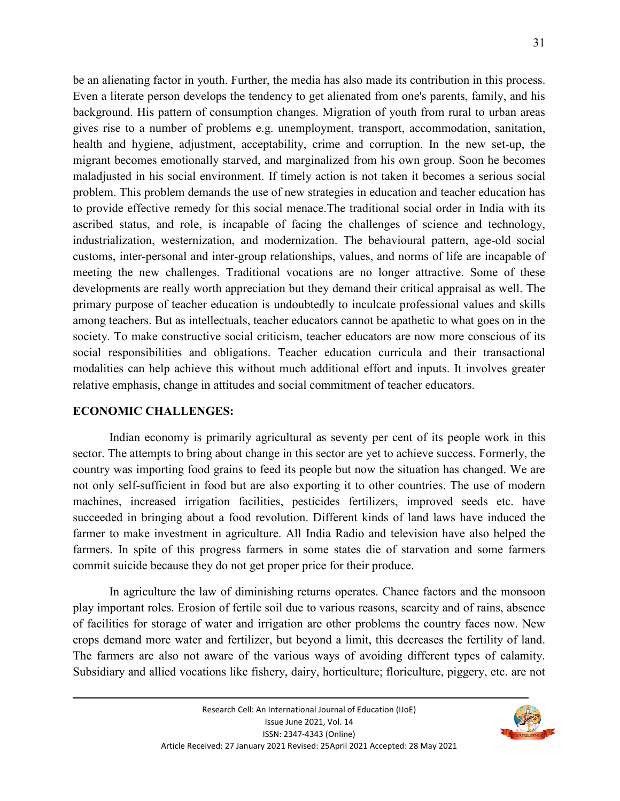be an alienating factor in youth. Further, the media has also made its contribution in this process. Even a literate person develops the tendency to get alienated from one's parents, family, and his background. His pattern of consumption changes. Migration of youth from rural to urban areas gives rise to a number of problems e.g. unemployment, transport, accommodation, sanitation, health and hygiene, adjustment, acceptability, crime and corruption. In the new set-up, the migrant becomes emotionally starved, and marginalized from his own group. Soon he becomes maladjusted in his social environment. If timely action is not taken it becomes a serious social problem. This problem demands the use of new strategies in education and teacher education has to provide effective remedy for this social menace.The traditional social order in India with its ascribed status, and role, is incapable of facing the challenges of science and technology, industrialization, westernization, and modernization. The behavioural pattern, age-old social customs, inter-personal and inter-group relationships, values, and norms of life are incapable of meeting the new challenges. Traditional vocations are no longer attractive. Some of these developments are really worth appreciation but they demand their critical appraisal as well. The primary purpose of teacher education is undoubtedly to inculcate professional values and skills among teachers. But as intellectuals, teacher educators cannot be apathetic to what goes on in the society. To make constructive social criticism, teacher educators are now more conscious of its social responsibilities and obligations. Teacher education curricula and their transactional modalities can help achieve this without much additional effort and inputs. It involves greater relative emphasis, change in attitudes and social commitment of teacher educators.

### **ECONOMIC CHALLENGES:**

Indian economy is primarily agricultural as seventy per cent of its people work in this sector. The attempts to bring about change in this sector are yet to achieve success. Formerly, the country was importing food grains to feed its people but now the situation has changed. We are not only self-sufficient in food but are also exporting it to other countries. The use of modern machines, increased irrigation facilities, pesticides fertilizers, improved seeds etc. have succeeded in bringing about a food revolution. Different kinds of land laws have induced the farmer to make investment in agriculture. All India Radio and television have also helped the farmers. In spite of this progress farmers in some states die of starvation and some farmers commit suicide because they do not get proper price for their produce.

In agriculture the law of diminishing returns operates. Chance factors and the monsoon play important roles. Erosion of fertile soil due to various reasons, scarcity and of rains, absence of facilities for storage of water and irrigation are other problems the country faces now. New crops demand more water and fertilizer, but beyond a limit, this decreases the fertility of land. The farmers are also not aware of the various ways of avoiding different types of calamity. Subsidiary and allied vocations like fishery, dairy, horticulture; floriculture, piggery, etc. are not

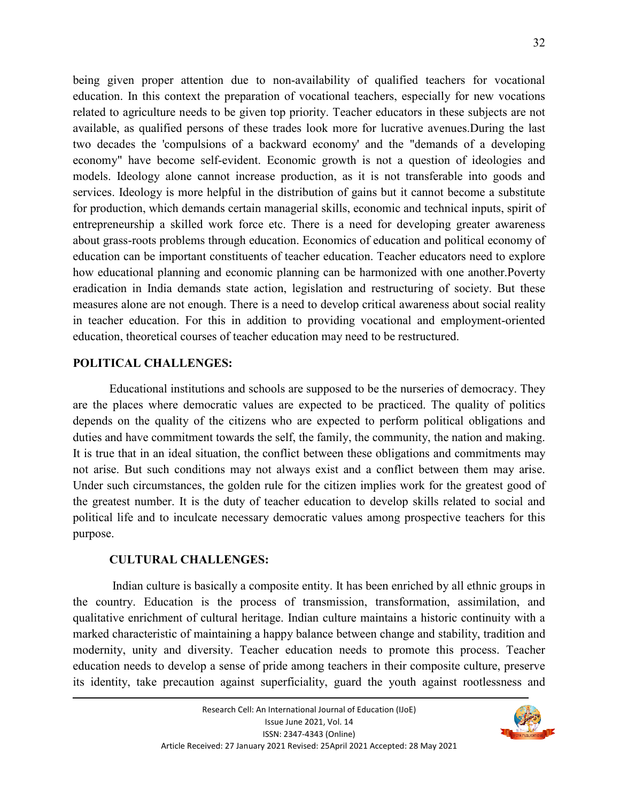being given proper attention due to non-availability of qualified teachers for vocational education. In this context the preparation of vocational teachers, especially for new vocations related to agriculture needs to be given top priority. Teacher educators in these subjects are not available, as qualified persons of these trades look more for lucrative avenues.During the last two decades the 'compulsions of a backward economy' and the "demands of a developing economy" have become self-evident. Economic growth is not a question of ideologies and models. Ideology alone cannot increase production, as it is not transferable into goods and services. Ideology is more helpful in the distribution of gains but it cannot become a substitute for production, which demands certain managerial skills, economic and technical inputs, spirit of entrepreneurship a skilled work force etc. There is a need for developing greater awareness about grass-roots problems through education. Economics of education and political economy of education can be important constituents of teacher education. Teacher educators need to explore how educational planning and economic planning can be harmonized with one another.Poverty eradication in India demands state action, legislation and restructuring of society. But these measures alone are not enough. There is a need to develop critical awareness about social reality in teacher education. For this in addition to providing vocational and employment-oriented education, theoretical courses of teacher education may need to be restructured.

#### **POLITICAL CHALLENGES:**

Educational institutions and schools are supposed to be the nurseries of democracy. They are the places where democratic values are expected to be practiced. The quality of politics depends on the quality of the citizens who are expected to perform political obligations and duties and have commitment towards the self, the family, the community, the nation and making. It is true that in an ideal situation, the conflict between these obligations and commitments may not arise. But such conditions may not always exist and a conflict between them may arise. Under such circumstances, the golden rule for the citizen implies work for the greatest good of the greatest number. It is the duty of teacher education to develop skills related to social and political life and to inculcate necessary democratic values among prospective teachers for this purpose.

### **CULTURAL CHALLENGES:**

 Indian culture is basically a composite entity. It has been enriched by all ethnic groups in the country. Education is the process of transmission, transformation, assimilation, and qualitative enrichment of cultural heritage. Indian culture maintains a historic continuity with a marked characteristic of maintaining a happy balance between change and stability, tradition and modernity, unity and diversity. Teacher education needs to promote this process. Teacher education needs to develop a sense of pride among teachers in their composite culture, preserve its identity, take precaution against superficiality, guard the youth against rootlessness and

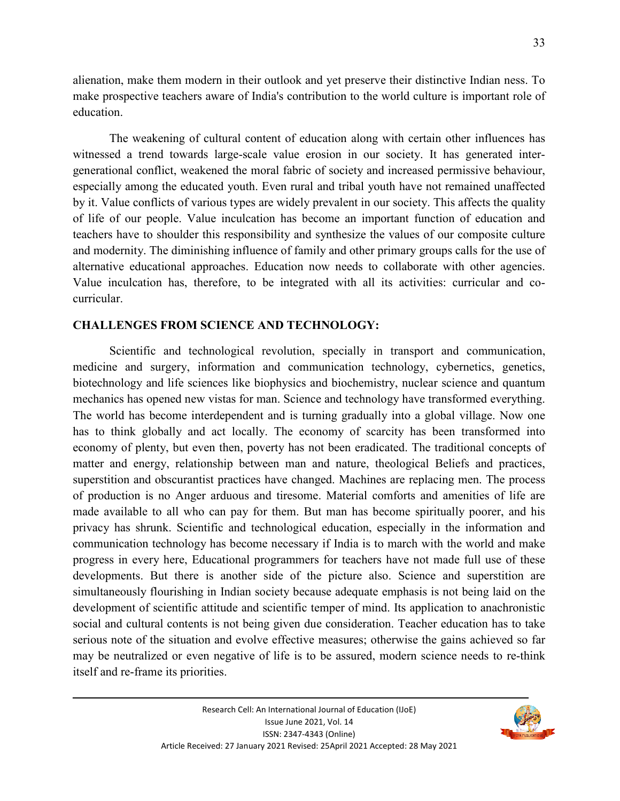alienation, make them modern in their outlook and yet preserve their distinctive Indian ness. To make prospective teachers aware of India's contribution to the world culture is important role of education.

The weakening of cultural content of education along with certain other influences has witnessed a trend towards large-scale value erosion in our society. It has generated intergenerational conflict, weakened the moral fabric of society and increased permissive behaviour, especially among the educated youth. Even rural and tribal youth have not remained unaffected by it. Value conflicts of various types are widely prevalent in our society. This affects the quality of life of our people. Value inculcation has become an important function of education and teachers have to shoulder this responsibility and synthesize the values of our composite culture and modernity. The diminishing influence of family and other primary groups calls for the use of alternative educational approaches. Education now needs to collaborate with other agencies. Value inculcation has, therefore, to be integrated with all its activities: curricular and cocurricular.

#### **CHALLENGES FROM SCIENCE AND TECHNOLOGY:**

Scientific and technological revolution, specially in transport and communication, medicine and surgery, information and communication technology, cybernetics, genetics, biotechnology and life sciences like biophysics and biochemistry, nuclear science and quantum mechanics has opened new vistas for man. Science and technology have transformed everything. The world has become interdependent and is turning gradually into a global village. Now one has to think globally and act locally. The economy of scarcity has been transformed into economy of plenty, but even then, poverty has not been eradicated. The traditional concepts of matter and energy, relationship between man and nature, theological Beliefs and practices, superstition and obscurantist practices have changed. Machines are replacing men. The process of production is no Anger arduous and tiresome. Material comforts and amenities of life are made available to all who can pay for them. But man has become spiritually poorer, and his privacy has shrunk. Scientific and technological education, especially in the information and communication technology has become necessary if India is to march with the world and make progress in every here, Educational programmers for teachers have not made full use of these developments. But there is another side of the picture also. Science and superstition are simultaneously flourishing in Indian society because adequate emphasis is not being laid on the development of scientific attitude and scientific temper of mind. Its application to anachronistic social and cultural contents is not being given due consideration. Teacher education has to take serious note of the situation and evolve effective measures; otherwise the gains achieved so far may be neutralized or even negative of life is to be assured, modern science needs to re-think itself and re-frame its priorities.

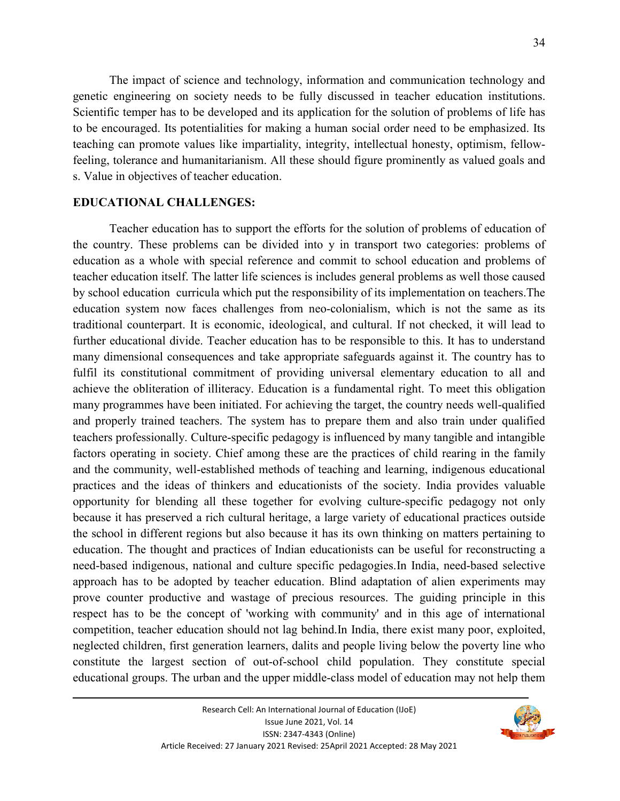The impact of science and technology, information and communication technology and genetic engineering on society needs to be fully discussed in teacher education institutions. Scientific temper has to be developed and its application for the solution of problems of life has to be encouraged. Its potentialities for making a human social order need to be emphasized. Its teaching can promote values like impartiality, integrity, intellectual honesty, optimism, fellowfeeling, tolerance and humanitarianism. All these should figure prominently as valued goals and s. Value in objectives of teacher education.

#### **EDUCATIONAL CHALLENGES:**

Teacher education has to support the efforts for the solution of problems of education of the country. These problems can be divided into y in transport two categories: problems of education as a whole with special reference and commit to school education and problems of teacher education itself. The latter life sciences is includes general problems as well those caused by school education curricula which put the responsibility of its implementation on teachers.The education system now faces challenges from neo-colonialism, which is not the same as its traditional counterpart. It is economic, ideological, and cultural. If not checked, it will lead to further educational divide. Teacher education has to be responsible to this. It has to understand many dimensional consequences and take appropriate safeguards against it. The country has to fulfil its constitutional commitment of providing universal elementary education to all and achieve the obliteration of illiteracy. Education is a fundamental right. To meet this obligation many programmes have been initiated. For achieving the target, the country needs well-qualified and properly trained teachers. The system has to prepare them and also train under qualified teachers professionally. Culture-specific pedagogy is influenced by many tangible and intangible factors operating in society. Chief among these are the practices of child rearing in the family and the community, well-established methods of teaching and learning, indigenous educational practices and the ideas of thinkers and educationists of the society. India provides valuable opportunity for blending all these together for evolving culture-specific pedagogy not only because it has preserved a rich cultural heritage, a large variety of educational practices outside the school in different regions but also because it has its own thinking on matters pertaining to education. The thought and practices of Indian educationists can be useful for reconstructing a need-based indigenous, national and culture specific pedagogies.In India, need-based selective approach has to be adopted by teacher education. Blind adaptation of alien experiments may prove counter productive and wastage of precious resources. The guiding principle in this respect has to be the concept of 'working with community' and in this age of international competition, teacher education should not lag behind.In India, there exist many poor, exploited, neglected children, first generation learners, dalits and people living below the poverty line who constitute the largest section of out-of-school child population. They constitute special educational groups. The urban and the upper middle-class model of education may not help them

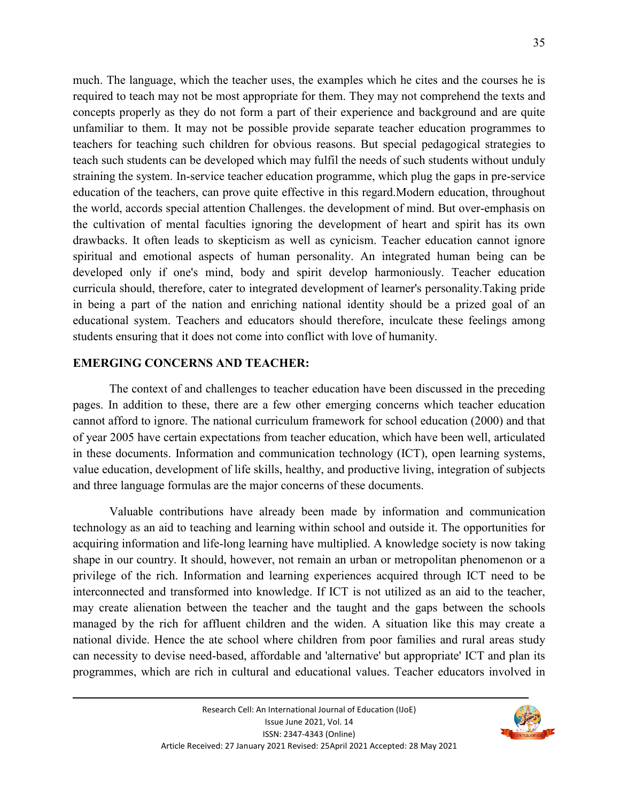much. The language, which the teacher uses, the examples which he cites and the courses he is required to teach may not be most appropriate for them. They may not comprehend the texts and concepts properly as they do not form a part of their experience and background and are quite unfamiliar to them. It may not be possible provide separate teacher education programmes to teachers for teaching such children for obvious reasons. But special pedagogical strategies to teach such students can be developed which may fulfil the needs of such students without unduly straining the system. In-service teacher education programme, which plug the gaps in pre-service education of the teachers, can prove quite effective in this regard.Modern education, throughout the world, accords special attention Challenges. the development of mind. But over-emphasis on the cultivation of mental faculties ignoring the development of heart and spirit has its own

drawbacks. It often leads to skepticism as well as cynicism. Teacher education cannot ignore spiritual and emotional aspects of human personality. An integrated human being can be developed only if one's mind, body and spirit develop harmoniously. Teacher education curricula should, therefore, cater to integrated development of learner's personality.Taking pride in being a part of the nation and enriching national identity should be a prized goal of an educational system. Teachers and educators should therefore, inculcate these feelings among students ensuring that it does not come into conflict with love of humanity.

#### **EMERGING CONCERNS AND TEACHER:**

The context of and challenges to teacher education have been discussed in the preceding pages. In addition to these, there are a few other emerging concerns which teacher education cannot afford to ignore. The national curriculum framework for school education (2000) and that of year 2005 have certain expectations from teacher education, which have been well, articulated in these documents. Information and communication technology (ICT), open learning systems, value education, development of life skills, healthy, and productive living, integration of subjects and three language formulas are the major concerns of these documents.

Valuable contributions have already been made by information and communication technology as an aid to teaching and learning within school and outside it. The opportunities for acquiring information and life-long learning have multiplied. A knowledge society is now taking shape in our country. It should, however, not remain an urban or metropolitan phenomenon or a privilege of the rich. Information and learning experiences acquired through ICT need to be interconnected and transformed into knowledge. If ICT is not utilized as an aid to the teacher, may create alienation between the teacher and the taught and the gaps between the schools managed by the rich for affluent children and the widen. A situation like this may create a national divide. Hence the ate school where children from poor families and rural areas study can necessity to devise need-based, affordable and 'alternative' but appropriate' ICT and plan its programmes, which are rich in cultural and educational values. Teacher educators involved in